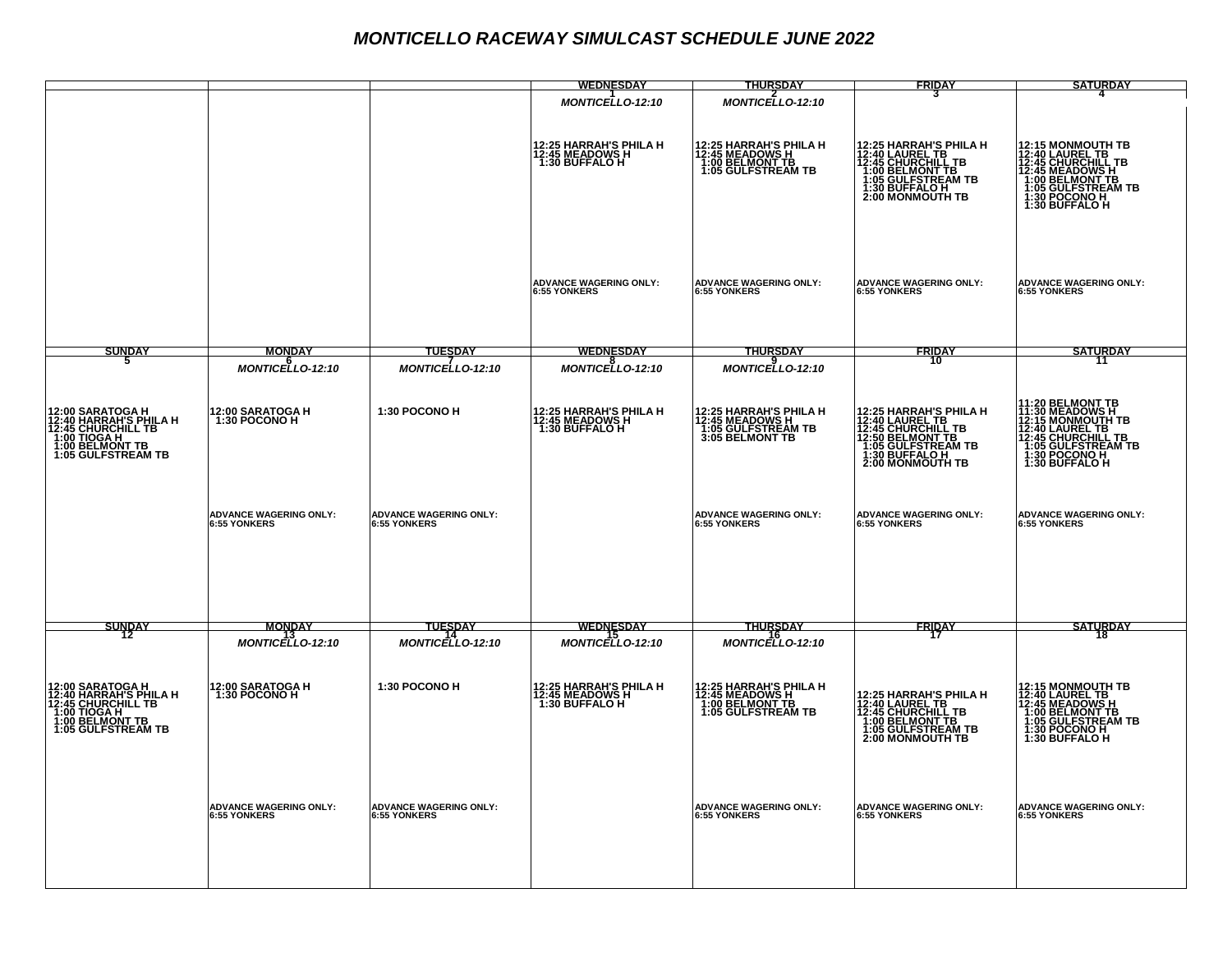## *MONTICELLO RACEWAY SIMULCAST SCHEDULE JUNE 2022*

|                                                                                                        |                                                      |                                               | <b>WEDNESDAY</b>                                              | <b>THURSDAY</b>                                                                                       | FRIDAY                                                                                                                                                       | <b>SATURDAY</b>                                                                                                                                                             |
|--------------------------------------------------------------------------------------------------------|------------------------------------------------------|-----------------------------------------------|---------------------------------------------------------------|-------------------------------------------------------------------------------------------------------|--------------------------------------------------------------------------------------------------------------------------------------------------------------|-----------------------------------------------------------------------------------------------------------------------------------------------------------------------------|
|                                                                                                        |                                                      |                                               | <b>MONTICELLO-12:10</b>                                       | <b>MONTICELLO-12:10</b>                                                                               |                                                                                                                                                              |                                                                                                                                                                             |
|                                                                                                        |                                                      |                                               | 12:25 HARRAH'S PHILA H<br>12:45 MEADOWS H<br>1:30 BUFFALO H   | 12:25 HARRAH'S PHILA H<br>12:45 MEADOWS H<br>1:00 BELMONT TB<br>1:00 BELMONT TB<br>1:05 GULFSTREAM TB | 12:25 HARRAH'S PHILA H<br>12:45 CHURCHILL TB<br>12:45 CHURCHILL TB<br>1:00 BELMONT TB<br>1:30 BULFSTREAM TB<br>1:30 BULFSTREAM TB<br><b>2:00 MONMOUTH TB</b> | <b>12:15 MONMOUTH TB<br/>12:40 CAUREL TB<br/>12:45 CHURCHILL TB<br/>12:45 MEADOWS H<br/>1:00 BELMONT TB<br/>1:05 GULFSTREAM TB<br/>1:30 BOLESTREAM TB</b><br>1:30 BUFFALO H |
|                                                                                                        |                                                      |                                               | <b>ADVANCE WAGERING ONLY:</b><br><b>6:55 YONKERS</b>          | <b>ADVANCE WAGERING ONLY:</b><br><b>6:55 YONKERS</b>                                                  | <b>ADVANCE WAGERING ONLY:</b><br><b>6:55 YONKERS</b>                                                                                                         | <b>ADVANCE WAGERING ONLY:</b><br><b>6:55 YONKERS</b>                                                                                                                        |
|                                                                                                        |                                                      |                                               |                                                               |                                                                                                       |                                                                                                                                                              |                                                                                                                                                                             |
| <b>SUNDAY</b>                                                                                          | MONDAY                                               | <b>TUESDAY</b>                                | WEDNESDAY                                                     | THURSDAY                                                                                              | FRIDAY<br>10                                                                                                                                                 | SATURDAY                                                                                                                                                                    |
|                                                                                                        | MONTICELLO-12:10                                     | <b>MONTICELLO-12:10</b>                       | <b>MONTICELLO-12:10</b>                                       | <b>MONTICELLO-12:10</b>                                                                               |                                                                                                                                                              |                                                                                                                                                                             |
| 12:00 SARATOGA H<br>12:40 HARRAH'S PHILA H<br>12:45 CHURCHILL TB<br>1:00 TIOGA H<br>1:05 GULFSTREAM TB | 12:00 SARATOGA H<br>1:30 POCONO H                    | 1:30 POCONO H                                 | 12:25 HARRAH'S PHILA H<br>12:45 MEADOWS H<br>  1:30 BUFFALO H | 12:25 HARRAH'S PHILA H<br>12:45 MEADOWS H<br>  1:05 GULFSTREAM TB<br>  3:05 BELMONT TB                | <b>12:25 HARRAH'S PHILA H<br/>12:40 LAUREL TB<br/>12:49 CAURCHIL TB<br/>12:50 BELMONT TB<br/>1:30 BUFFALO H<br/>1:30 BUFFALO H<br/>2:00 MONMOUTH TB</b>      | <b>11:20 BELMONT TB<br/>12:15 MONMOUTH TB<br/>12:15 MONMOUTH TB<br/>12:45 CHURCHILL TB<br/>1:45 CHURCHILL TB<br/>1:05 GULFSTREAM TB<br/>1:30 BUFFALO H</b>                  |
|                                                                                                        | <b>ADVANCE WAGERING ONLY:</b><br><b>6:55 YONKERS</b> | <b>ADVANCE WAGERING ONLY:</b><br>6:55 YONKERS |                                                               | <b>ADVANCE WAGERING ONLY:</b><br><b>6:55 YONKERS</b>                                                  | <b>ADVANCE WAGERING ONLY:</b><br><b>6:55 YONKERS</b>                                                                                                         | <b>ADVANCE WAGERING ONLY:</b><br><b>6:55 YONKERS</b>                                                                                                                        |
| SUNDAY                                                                                                 | MONDAY<br>$MONTICELLO-12:10$                         | <b>TUESDAY</b><br>MONTICELLO-12:10            | WEDNESDAY<br>$MONTICELLO-12:10$                               | THURSDAY<br><b>MONTICELLO-12:10</b>                                                                   | FRIDAY<br>17                                                                                                                                                 | SATURDAY<br>18                                                                                                                                                              |
|                                                                                                        |                                                      |                                               |                                                               |                                                                                                       |                                                                                                                                                              |                                                                                                                                                                             |
| 12:00 SARATOGA H<br>12:40 HARRAH'S PHILA H<br>17:45 CHURCHILL TB<br>1:00 TIOGA H<br>1:05 GULFSTREAM TB | 12:00 SARATOGA H<br>1:30 POCONO H                    | 1:30 POCONO H                                 | 12:25 HARRAH'S PHILA H<br>12:45 MEADOWS H<br>1:30 BUFFALO H   | <b>12:25 HARRAH'S PHILA H<br/>12:45 MEADOWS H<br/>1:00 BELMONT TB<br/>1:05 GULFSTREAM TB</b>          | <b>12:25 HARRAH'S PHILA H<br/>12:40 LAUREL TB<br/>12:45 CHURCHILL TB<br/>1:00 BELMONT TB<br/>1:06 MONMOUTH TB<br/>2:00 MONMOUTH TB</b>                       | <b>12:15 MONMOUTH TB<br/>12:40 LAUREL TB<br/>12:49 LAUREL TB<br/>1:00 BELMONT TB<br/>1:05 GULFSTREAM TB<br/>1:30 POCONO H.</b><br>1:30 BUFFALO H                            |
|                                                                                                        | <b>ADVANCE WAGERING ONLY:</b><br>6:55 YONKERS        | <b>ADVANCE WAGERING ONLY:</b><br>6:55 YONKERS |                                                               | <b>ADVANCE WAGERING ONLY:</b><br>6:55 YONKERS                                                         | <b>ADVANCE WAGERING ONLY:</b><br>6:55 YONKERS                                                                                                                | <b>ADVANCE WAGERING ONLY:</b><br>6:55 YONKERS                                                                                                                               |